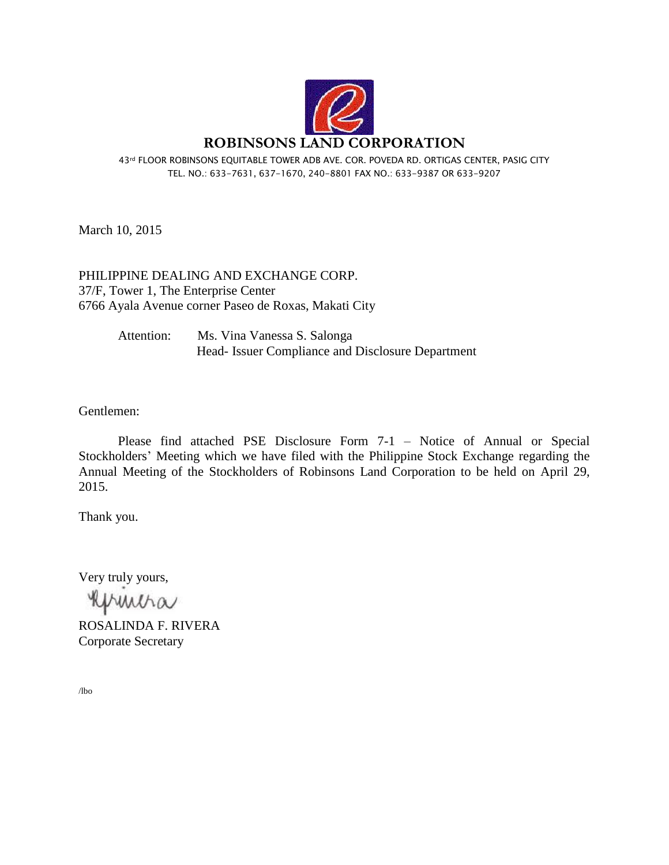

43rd FLOOR ROBINSONS EQUITABLE TOWER ADB AVE. COR. POVEDA RD. ORTIGAS CENTER, PASIG CITY TEL. NO.: 633-7631, 637-1670, 240-8801 FAX NO.: 633-9387 OR 633-9207

March 10, 2015

PHILIPPINE DEALING AND EXCHANGE CORP. 37/F, Tower 1, The Enterprise Center 6766 Ayala Avenue corner Paseo de Roxas, Makati City

> Attention: Ms. Vina Vanessa S. Salonga Head- Issuer Compliance and Disclosure Department

Gentlemen:

Please find attached PSE Disclosure Form 7-1 – Notice of Annual or Special Stockholders' Meeting which we have filed with the Philippine Stock Exchange regarding the Annual Meeting of the Stockholders of Robinsons Land Corporation to be held on April 29, 2015.

Thank you.

Very truly yours,

huntha

ROSALINDA F. RIVERA Corporate Secretary

/lbo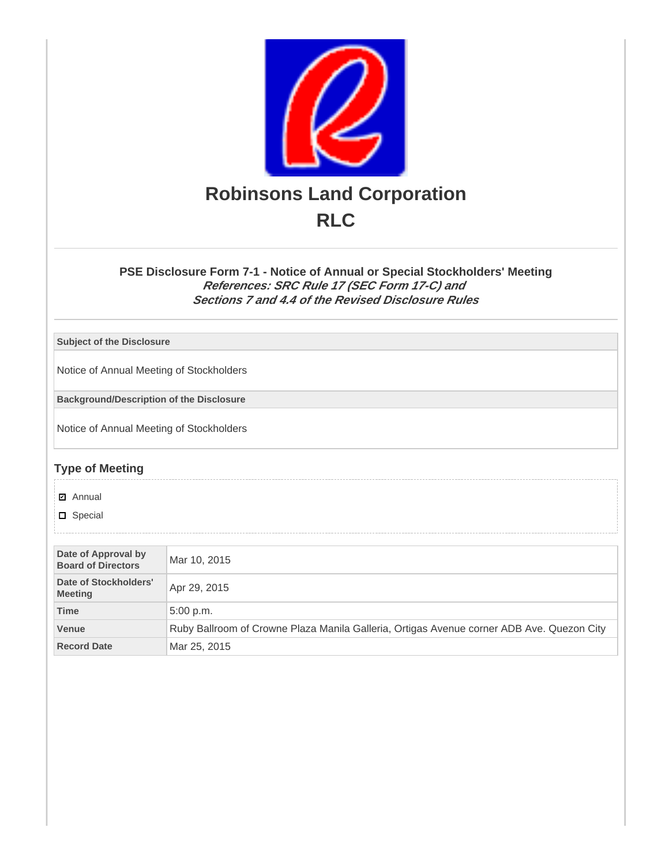

## **PSE Disclosure Form 7-1 - Notice of Annual or Special Stockholders' Meeting References: SRC Rule 17 (SEC Form 17-C) and Sections 7 and 4.4 of the Revised Disclosure Rules**

**Subject of the Disclosure**

Notice of Annual Meeting of Stockholders

**Background/Description of the Disclosure**

Notice of Annual Meeting of Stockholders

## **Type of Meeting**

**☑** Annual

**D** Special

| Date of Approval by<br><b>Board of Directors</b> | Mar 10, 2015                                                                              |  |
|--------------------------------------------------|-------------------------------------------------------------------------------------------|--|
| Date of Stockholders'<br><b>Meeting</b>          | Apr 29, 2015                                                                              |  |
| <b>Time</b>                                      | 5:00 p.m.                                                                                 |  |
| <b>Venue</b>                                     | Ruby Ballroom of Crowne Plaza Manila Galleria, Ortigas Avenue corner ADB Ave. Quezon City |  |
| <b>Record Date</b>                               | Mar 25, 2015                                                                              |  |